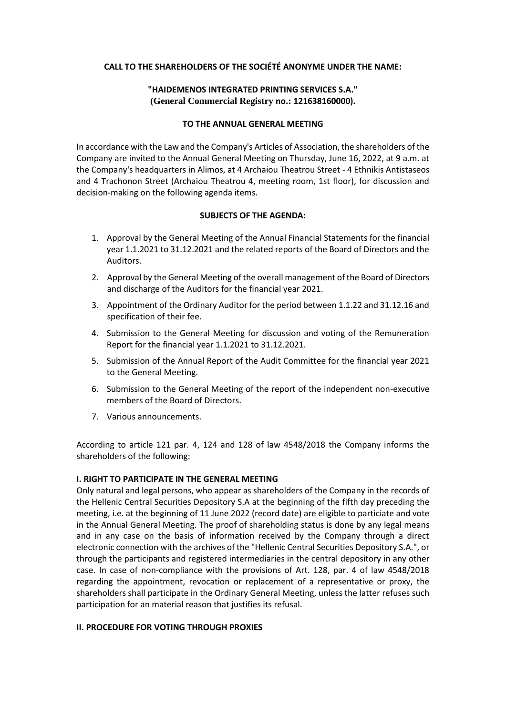### **CALL TO THE SHAREHOLDERS OF THE SOCIÉTÉ ANONYME UNDER THE NAME:**

# **"HAIDEMENOS INTEGRATED PRINTING SERVICES S.A." (General Commercial Registry no.: 121638160000).**

### **TO THE ANNUAL GENERAL MEETING**

In accordance with the Law and the Company's Articles of Association, the shareholders of the Company are invited to the Annual General Meeting on Thursday, June 16, 2022, at 9 a.m. at the Company's headquarters in Alimos, at 4 Archaiou Theatrou Street - 4 Ethnikis Antistaseos and 4 Trachonon Street (Archaiou Theatrou 4, meeting room, 1st floor), for discussion and decision-making on the following agenda items.

### **SUBJECTS OF THE AGENDA:**

- 1. Approval by the General Meeting of the Annual Financial Statements for the financial year 1.1.2021 to 31.12.2021 and the related reports of the Board of Directors and the Auditors.
- 2. Approval by the General Meeting of the overall management of the Board of Directors and discharge of the Auditors for the financial year 2021.
- 3. Appointment of the Ordinary Auditor for the period between 1.1.22 and 31.12.16 and specification of their fee.
- 4. Submission to the General Meeting for discussion and voting of the Remuneration Report for the financial year 1.1.2021 to 31.12.2021.
- 5. Submission of the Annual Report of the Audit Committee for the financial year 2021 to the General Meeting.
- 6. Submission to the General Meeting of the report of the independent non-executive members of the Board of Directors.
- 7. Various announcements.

According to article 121 par. 4, 124 and 128 of law 4548/2018 the Company informs the shareholders of the following:

## **I. RIGHT TO PARTICIPATE IN THE GENERAL MEETING**

Only natural and legal persons, who appear as shareholders of the Company in the records of the Hellenic Central Securities Depository S.A at the beginning of the fifth day preceding the meeting, i.e. at the beginning of 11 June 2022 (record date) are eligible to particiate and vote in the Annual General Meeting. The proof of shareholding status is done by any legal means and in any case on the basis of information received by the Company through a direct electronic connection with the archives of the "Hellenic Central Securities Depository S.A.", or through the participants and registered intermediaries in the central depository in any other case. In case of non-compliance with the provisions of Art. 128, par. 4 of law 4548/2018 regarding the appointment, revocation or replacement of a representative or proxy, the shareholders shall participate in the Ordinary General Meeting, unless the latter refuses such participation for an material reason that justifies its refusal.

## **ΙΙ. PROCEDURE FOR VOTING THROUGH PROXIES**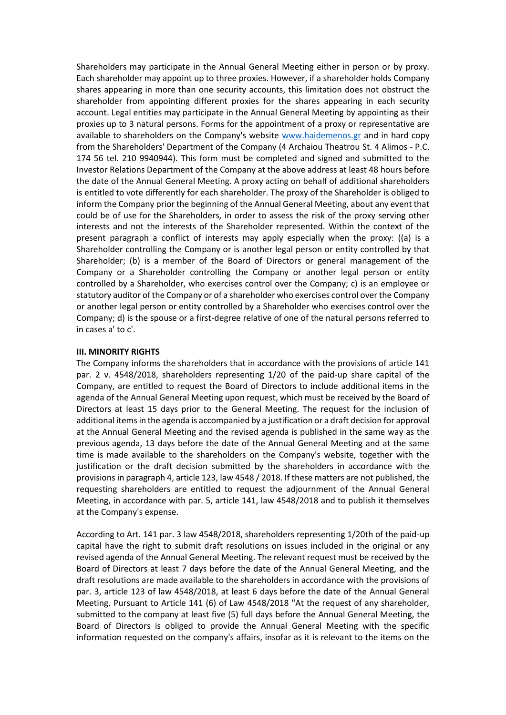Shareholders may participate in the Annual General Meeting either in person or by proxy. Each shareholder may appoint up to three proxies. However, if a shareholder holds Company shares appearing in more than one security accounts, this limitation does not obstruct the shareholder from appointing different proxies for the shares appearing in each security account. Legal entities may participate in the Annual General Meeting by appointing as their proxies up to 3 natural persons. Forms for the appointment of a proxy or representative are available to shareholders on the Company's website [www.haidemenos.gr](http://www.haidemenos.gr/) and in hard copy from the Shareholders' Department of the Company (4 Archaiou Theatrou St. 4 Alimos - P.C. 174 56 tel. 210 9940944). This form must be completed and signed and submitted to the Investor Relations Department of the Company at the above address at least 48 hours before the date of the Annual General Meeting. A proxy acting on behalf of additional shareholders is entitled to vote differently for each shareholder. The proxy of the Shareholder is obliged to inform the Company prior the beginning of the Annual General Meeting, about any event that could be of use for the Shareholders, in order to assess the risk of the proxy serving other interests and not the interests of the Shareholder represented. Within the context of the present paragraph a conflict of interests may apply especially when the proxy: ((a) is a Shareholder controlling the Company or is another legal person or entity controlled by that Shareholder; (b) is a member of the Board of Directors or general management of the Company or a Shareholder controlling the Company or another legal person or entity controlled by a Shareholder, who exercises control over the Company; c) is an employee or statutory auditor of the Company or of a shareholder who exercises control over the Company or another legal person or entity controlled by a Shareholder who exercises control over the Company; d) is the spouse or a first-degree relative of one of the natural persons referred to in cases a' to c'.

### **III. MINORITY RIGHTS**

The Company informs the shareholders that in accordance with the provisions of article 141 par. 2 ν. 4548/2018, shareholders representing 1/20 of the paid-up share capital of the Company, are entitled to request the Board of Directors to include additional items in the agenda of the Annual General Meeting upon request, which must be received by the Board of Directors at least 15 days prior to the General Meeting. The request for the inclusion of additional items in the agenda is accompanied by a justification or a draft decision for approval at the Annual General Meeting and the revised agenda is published in the same way as the previous agenda, 13 days before the date of the Annual General Meeting and at the same time is made available to the shareholders on the Company's website, together with the justification or the draft decision submitted by the shareholders in accordance with the provisions in paragraph 4, article 123, law 4548 / 2018. If these matters are not published, the requesting shareholders are entitled to request the adjournment of the Annual General Meeting, in accordance with par. 5, article 141, law 4548/2018 and to publish it themselves at the Company's expense.

According to Art. 141 par. 3 law 4548/2018, shareholders representing 1/20th of the paid-up capital have the right to submit draft resolutions on issues included in the original or any revised agenda of the Annual General Meeting. The relevant request must be received by the Board of Directors at least 7 days before the date of the Annual General Meeting, and the draft resolutions are made available to the shareholders in accordance with the provisions of par. 3, article 123 of law 4548/2018, at least 6 days before the date of the Annual General Meeting. Pursuant to Article 141 (6) of Law 4548/2018 "At the request of any shareholder, submitted to the company at least five (5) full days before the Annual General Meeting, the Board of Directors is obliged to provide the Annual General Meeting with the specific information requested on the company's affairs, insofar as it is relevant to the items on the